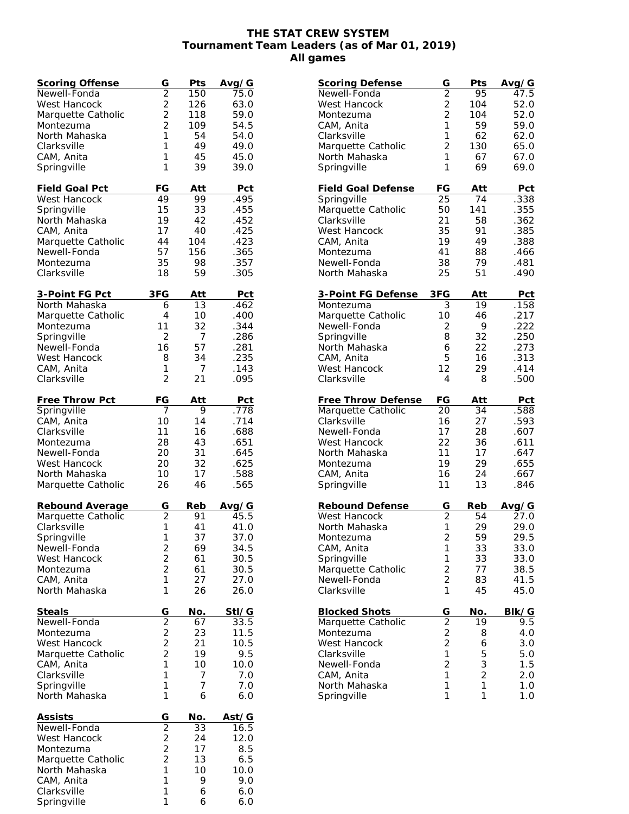## **THE STAT CREW SYSTEM Tournament Team Leaders (as of Mar 01, 2019) All games**

| Scoring Offense             | G              | Pts | Avg/G        |
|-----------------------------|----------------|-----|--------------|
| Newell-Fonda                | $\overline{2}$ | 150 | 75.0         |
| West Hancock                | $\frac{2}{2}$  | 126 | 63.0         |
| Marquette Catholic          |                | 118 | 59.0         |
| Montezuma                   | $\overline{2}$ | 109 | 54.5         |
| North Mahaska               | 1              | 54  | 54.0         |
| Clarksville                 | 1              | 49  | 49.0         |
| CAM, Anita                  | 1              | 45  | 45.0         |
| Springville                 | 1              | 39  | 39.0         |
|                             |                |     |              |
| Field Goal Pct              | FG             | Att | Pct          |
| West Hancock                | 49             | 99  | .495         |
| Springville                 | 15             | 33  | .455         |
| North Mahaska               | 19             | 42  | .452         |
| CAM, Anita                  | 17             | 40  | .425         |
| Marquette Catholic          | 44             | 104 | .423         |
| Newell-Fonda                | 57             | 156 | .365         |
| Montezuma                   | 35             | 98  | .357         |
| Clarksville                 | 18             | 59  | .305         |
|                             |                |     |              |
| <u>3-Point FG Pct</u>       | 3FG            | Att | <u>Pct</u>   |
| North Mahaska               | 6              | 13  | .462         |
| Marquette Catholic          | 4              | 10  | .400         |
| Montezuma                   | 11             | 32  | .344         |
| Springville                 | $\overline{2}$ | 7   | .286         |
| Newell-Fonda                | 16             | 57  | .281         |
| West Hancock                | 8              | 34  | .235         |
| CAM, Anita                  | 1              | 7   | .143         |
| Clarksville                 | 2              | 21  | .095         |
|                             |                |     |              |
| Free Throw Pct              | <u>FG</u>      | Att | Pct          |
| Springville                 | 7              | 9   | .778         |
| CAM, Anita                  | 10             | 14  | .714         |
| Clarksville                 | 11             | 16  | .688         |
| Montezuma                   | 28             | 43  | .651         |
| Newell-Fonda                | 20             | 31  | .645         |
| West Hancock                | 20             | 32  | .625         |
| North Mahaska               | 10             | 17  |              |
|                             | 26             | 46  | .588<br>.565 |
| Marquette Catholic          |                |     |              |
| Rebound Average             | G              | Reb | Avg/G        |
| Marquette Catholic          | $\overline{2}$ | 91  | 45.5         |
| Clarksville                 | 1              | 41  | 41.0         |
| Springville                 | 1              | 37  | 37.0         |
| Newell-Fonda                |                | 69  | 34.5         |
| West Hancock                | $\frac{2}{2}$  | 61  | 30.5         |
| Montezuma                   | $\overline{2}$ | 61  | 30.5         |
|                             | 1              | 27  |              |
| CAM, Anita<br>North Mahaska | 1              |     | 27.0         |
|                             |                | 26  | 26.0         |
| <b>Steals</b>               | G              | No. | Stl/G        |
| Newell-Fonda                |                | 67  | 33.5         |
| Montezuma                   | $\frac{1}{2}$  | 23  | 11.5         |
| West Hancock                |                | 21  | 10.5         |
| Marquette Catholic          | $\overline{c}$ | 19  | 9.5          |
| CAM, Anita                  | 1              | 10  | 10.0         |
| Clarksville                 | 1              | 7   | 7.0          |
| Springville                 | 1              | 7   | 7.0          |
| North Mahaska               | 1              | 6   | 6.0          |
|                             |                |     |              |
| <b>Assists</b>              | G              | No. | Ast/G        |
| Newell-Fonda                | $\overline{2}$ | 33  | 16.5         |
| West Hancock                |                | 24  | 12.0         |
| Montezuma                   | $\frac{2}{2}$  | 17  | 8.5          |
| Marquette Catholic          | $\overline{2}$ | 13  | 6.5          |
| North Mahaska               | 1              | 10  | 10.0         |
| CAM, Anita                  | 1              | 9   | 9.0          |
| Clarksville                 | 1              | 6   | 6.0          |
| Springville                 | 1              | 6   | 6.0          |
|                             |                |     |              |

| <b>Scoring Defense</b>       | G              | Pts                 | Avg/G         |
|------------------------------|----------------|---------------------|---------------|
| Newell-Fonda                 | $\overline{2}$ | 95                  | 47.5          |
| West Hancock                 | $\frac{2}{2}$  | 104                 | 52.0          |
| Montezuma                    |                | 104                 | 52.0          |
| CAM, Anita                   | 1              | 59                  | 59.0          |
| Clarksville                  | 1              | 62                  | 62.0          |
| Marquette Catholic           | $\overline{2}$ | 130                 | 65.0          |
| North Mahaska                | 1              | 67                  | 67.0          |
| Springville                  | 1              | 69                  | 69.0          |
| <b>Field Goal Defense</b>    | FG             | Att                 | Pct           |
| Springville                  | 25             | 74                  | .338          |
| Marquette Catholic           | 50             | 141                 | .355          |
| Clarksville                  | 21             | 58                  | .362          |
| West Hancock                 | 35             | 91                  | .385          |
| CAM, Anita                   | 19             | 49                  | .388          |
| Montezuma                    | 41             | 88                  | .466          |
| Newell-Fonda                 | 38             | 79                  | .481          |
| North Mahaska                | 25             | 51                  | .490          |
| 3-Point FG Defense           | 3FG            | Att                 | Pct           |
| Montezuma                    | 3              | 19                  | .158          |
| Marquette Catholic           | 10             | 46                  | .217          |
| Newell-Fonda                 | 2              | 9                   | .222          |
| Springville                  | 8              | 32                  | .250          |
| North Mahaska                | 6              | 22                  | .273          |
| CAM, Anita                   | 5              | 16                  | .313          |
| West Hancock                 | 12             | 29                  | .414          |
| Clarksville                  | 4              | 8                   | .500          |
| <b>Free Throw Defense</b>    | FG             | Att                 | <b>Pct</b>    |
| Marquette Catholic           | 20             | 34                  | .588          |
| Clarksville                  | 16             | 27                  | .593          |
| Newell-Fonda                 | 17             | 28                  | .607          |
| West Hancock                 | 22             | 36                  | .611          |
| North Mahaska                | 11             | 17                  | .647          |
| Montezuma                    | 19             | 29                  | .655          |
| CAM, Anita                   | 16             | 24                  | .667          |
| Springville                  | 11             | 13                  | .846          |
| Rebound Defense              | G              | Reb                 | <u>Avg</u> /G |
| West Hancock                 | $\overline{2}$ | 54                  | 27.0          |
| North Mahaska                | 1              | 29                  | 29.0          |
| Montezuma                    | $\overline{2}$ | 59                  | 29.5          |
| CAM, Anita                   | 1              | 33                  | 33.0          |
| Springville                  | $\mathbf{1}$   | 33                  | 33.0          |
| Marquette Catholic           | $\frac{2}{2}$  | 77                  | 38.5          |
| Newell-Fonda                 |                | 83                  | 41.5          |
| Clarksville                  | $\mathbf{1}$   | 45                  | 45.0          |
| <b>Blocked Shots</b>         | $rac{G}{2}$    | No.                 | Blk/G         |
| Marquette Catholic           |                | 19                  | 9.5           |
| Montezuma                    |                | 8                   | 4.0           |
| <b>West Hancock</b>          | $\overline{c}$ | 6                   | 3.0           |
| Clarksville                  | $\mathbf{1}$   | 5                   | 5.0           |
| Newell-Fonda                 | $\overline{c}$ | 3                   | 1.5           |
| CAM, Anita                   | 1              | $\overline{2}$<br>1 | 2.0           |
| North Mahaska<br>Springville | 1<br>1         | 1                   | $1.0$         |
|                              |                |                     | 1.0           |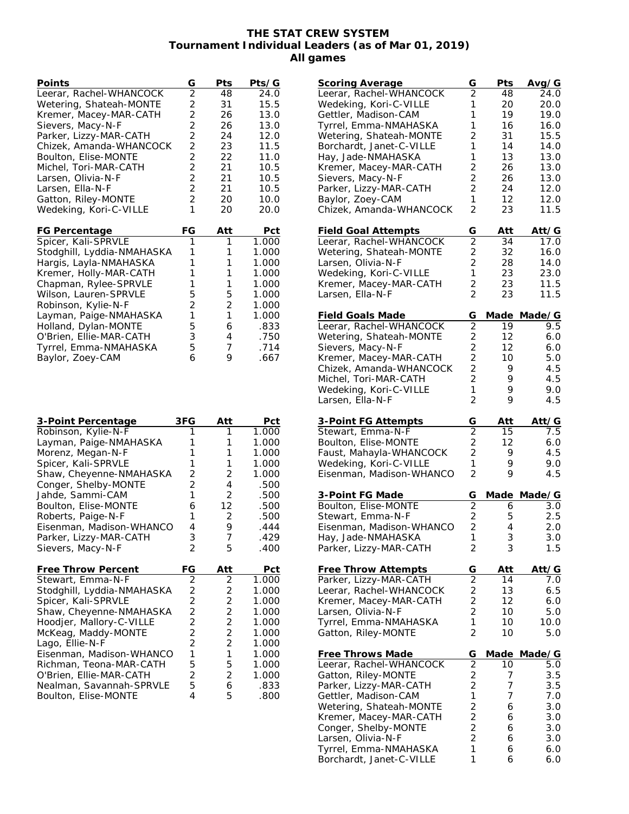## **THE STAT CREW SYSTEM Tournament Individual Leaders (as of Mar 01, 2019) All games**

| Points                     | G              | Pts            | Pts/G |
|----------------------------|----------------|----------------|-------|
| Leerar, Rachel-WHANCOCK    | $\overline{2}$ | 48             | 24.0  |
| Wetering, Shateah-MONTE    | $\overline{c}$ | 31             | 15.5  |
| Kremer, Macey-MAR-CATH     | $\overline{2}$ | 26             | 13.0  |
| Sievers, Macy-N-F          | $\overline{2}$ | 26             | 13.0  |
| Parker, Lizzy-MAR-CATH     | $\overline{c}$ | 24             | 12.0  |
| Chizek, Amanda-WHANCOCK    | $\overline{2}$ | 23             | 11.5  |
|                            | $\overline{c}$ | 22             | 11.0  |
| Boulton, Elise-MONTE       | $\overline{2}$ |                |       |
| Michel, Tori-MAR-CATH      |                | 21             | 10.5  |
| Larsen, Olivia-N-F         | $\overline{2}$ | 21             | 10.5  |
| Larsen, Ella-N-F           | $\overline{c}$ | 21             | 10.5  |
| Gatton, Riley-MONTE        | $\overline{2}$ | 20             | 10.0  |
| Wedeking, Kori-C-VILLE     | 1              | 20             | 20.0  |
| FG Percentage              | FG             | Att            | Pct   |
| Spicer, Kali-SPRVLE        | 1              | 1              | 1.000 |
| Stodghill, Lyddia-NMAHASKA | 1              | 1              | 1.000 |
| Hargis, Layla-NMAHASKA     | 1              | 1              | 1.000 |
| Kremer, Holly-MAR-CATH     | 1              | 1              | 1.000 |
| Chapman, Rylee-SPRVLE      | 1              | 1              | 1.000 |
|                            | 5              | 5              | 1.000 |
| Wilson, Lauren-SPRVLE      |                |                |       |
| Robinson, Kylie-N-F        | $\overline{2}$ | $\overline{2}$ | 1.000 |
| Layman, Paige-NMAHASKA     | 1              | 1              | 1.000 |
| Holland, Dylan-MONTE       | 5              | 6              | .833  |
| O'Brien, Ellie-MAR-CATH    | 3              | 4              | .750  |
| Tyrrel, Emma-NMAHASKA      | 5              | 7              | .714  |
| Baylor, Zoey-CAM           | 6              | 9              | .667  |
| 3-Point Percentage         | 3FG            | Att            | Pct   |
| Robinson, Kylie-N-F        | 1              | 1              | 1.000 |
| Layman, Paige-NMAHASKA     | 1              | 1              | 1.000 |
| Morenz, Megan-N-F          | 1              | 1              | 1.000 |
| Spicer, Kali-SPRVLE        | 1              | 1              | 1.000 |
| Shaw, Cheyenne-NMAHASKA    | $\overline{2}$ | 2              | 1.000 |
| Conger, Shelby-MONTE       | $\overline{2}$ | 4              | .500  |
| Jahde, Sammi-CAM           | 1              | 2              | .500  |
| Boulton, Elise-MONTE       | 6              | 12             | .500  |
| Roberts, Paige-N-F         | 1              | 2              | .500  |
| Eisenman, Madison-WHANCO   | 4              | 9              | .444  |
| Parker, Lizzy-MAR-CATH     | 3              | 7              | .429  |
| Sievers, Macy-N-F          | 2              | 5              | .400  |
|                            |                |                |       |
| <b>Free Throw Percent</b>  | FG             | Att            | Pct   |
| Stewart, Emma-N-F          | 2              | 2              | 1.000 |
| Stodghill, Lyddia-NMAHASKA | $\overline{2}$ | $\overline{c}$ | 1.000 |
| Spicer, Kali-SPRVLE        | $\overline{c}$ | $\overline{c}$ | 1.000 |
| Shaw, Cheyenne-NMAHASKA    | $\overline{2}$ | $\overline{c}$ | 1.000 |
| Hoodjer, Mallory-C-VILLE   | $\overline{c}$ | $\overline{c}$ | 1.000 |
| McKeag, Maddy-MONTE        | $\overline{c}$ | $\overline{c}$ | 1.000 |
| Lago, Ellie-N-F            | $\overline{c}$ | $\overline{2}$ | 1.000 |
| Eisenman, Madison-WHANCO   | 1              | 1              | 1.000 |
| Richman, Teona-MAR-CATH    | 5              | 5              | 1.000 |
| O'Brien, Ellie-MAR-CATH    | $\overline{c}$ | 2              | 1.000 |
| Nealman, Savannah-SPRVLE   | 5              |                | .833  |

Boulton, Elise-MONTE 4 5 .800

| <b>Scoring Average</b>                       | G              | Pts    | Avg/G       |
|----------------------------------------------|----------------|--------|-------------|
| Leerar, Rachel-WHANCOCK                      | $\overline{2}$ | 48     | 24.0        |
| Wedeking, Kori-C-VILLE                       | 1              | 20     | 20.0        |
| Gettler, Madison-CAM                         | 1              | 19     | 19.0        |
| Tyrrel, Emma-NMAHASKA                        | 1              | 16     | 16.0        |
| Wetering, Shateah-MONTE                      | $\overline{2}$ | 31     |             |
|                                              |                |        | 15.5        |
| Borchardt, Janet-C-VILLE                     | 1              | 14     | 14.0        |
| Hay, Jade-NMAHASKA                           | 1              | 13     | 13.0        |
| Kremer, Macey-MAR-CATH                       | 2              | 26     | 13.0        |
| Sievers, Macy-N-F                            | $\overline{2}$ | 26     | 13.0        |
| Parker, Lizzy-MAR-CATH                       | $\overline{2}$ | 24     | 12.0        |
| Baylor, Zoey-CAM                             | 1              | 12     | 12.0        |
| Chizek, Amanda-WHANCOCK                      | $\overline{2}$ | 23     | 11.5        |
| <b>Field Goal Attempts</b>                   | G              | Att    | Att⁄G       |
| Leerar, Rachel-WHANCOCK                      | $\overline{2}$ | 34     | 17.0        |
|                                              |                |        |             |
| Wetering, Shateah-MONTE                      | 2              | 32     | 16.0        |
| Larsen, Olivia-N-F                           | $\overline{2}$ | 28     | 14.0        |
| Wedeking, Kori-C-VILLE                       | 1              | 23     | 23.0        |
| Kremer, Macey-MAR-CATH                       | 2              | 23     | 11.5        |
| Larsen, Ella-N-F                             | $\overline{2}$ | 23     | 11.5        |
| Field Goals Made                             | G              | Made   | Made/G      |
| Leerar, Rachel-WHANCOCK                      | $\overline{2}$ | 19     | 9.5         |
| Wetering, Shateah-MONTE                      | $\overline{2}$ | 12     | 6.0         |
|                                              |                |        |             |
| Sievers, Macy-N-F                            | $\overline{2}$ | 12     | 6.0         |
| Kremer, Macey-MAR-CATH                       | $\overline{2}$ | 10     | 5.0         |
| Chizek, Amanda-WHANCOCK                      | $\overline{2}$ | 9      | 4.5         |
| Michel, Tori-MAR-CATH                        | $\overline{2}$ | 9      | 4.5         |
| Wedeking, Kori-C-VILLE                       | 1              | 9      | 9.0         |
| Larsen, Ella-N-F                             | 2              | 9      | 4.5         |
| <b>3-Point FG Attempts</b>                   | G              | Att    | Att/G       |
|                                              | $\overline{2}$ | 15     | 7.5         |
| Stewart, Emma-N-F                            |                |        |             |
| Boulton, Elise-MONTE                         | $\overline{2}$ | 12     | 6.0         |
| Faust, Mahayla-WHANCOCK                      | $\overline{2}$ | 9      | 4.5         |
| Wedeking, Kori-C-VILLE                       | 1              | 9      | 9.0         |
| Eisenman, Madison-WHANCO                     | 2              | 9      | 4.5         |
| 3-Point FG Made                              | G              |        | Made Made/G |
| Boulton, Elise-MONTE                         | $\overline{2}$ | 6      | 3.0         |
| Stewart, Emma-N-F                            | $\overline{2}$ | 5      | 2.5         |
| Eisenman, Madison-WHANCO                     | $\overline{2}$ | 4      | 2.0         |
|                                              |                |        |             |
| Hay, Jade-NMAHASKA<br>Parker, Lizzy-MAR-CATH | 1<br>2         | 3<br>3 | 3.0<br>1.5  |
|                                              |                |        |             |
| <b>Free Throw Attempts</b>                   | G              | Att    | Att/G       |
| Parker, Lizzy-MAR-CATH                       | $\overline{2}$ | 14     | 7.0         |
| Leerar, Rachel-WHANCOCK                      | $\overline{2}$ | 13     | 6.5         |
| Kremer, Macey-MAR-CATH                       | $\overline{2}$ | 12     | 6.0         |
| Larsen, Olivia-N-F                           | $\overline{2}$ | 10     | 5.0         |
| Tyrrel, Emma-NMAHASKA                        | 1              | 10     | 10.0        |
| Gatton, Riley-MONTE                          | $\overline{2}$ | 10     | 5.0         |
|                                              |                |        |             |
| <b>Free Throws Made</b>                      | G              | Made   | Made/G      |
| Leerar, Rachel-WHANCOCK                      | $\overline{2}$ | 10     | 5.0         |
| Gatton, Riley-MONTE                          | $\frac{2}{2}$  | 7      | 3.5         |
| Parker, Lizzy-MAR-CATH                       |                | 7      | 3.5         |
| Gettler, Madison-CAM                         | 1              | 7      | 7.0         |
| Wetering, Shateah-MONTE                      | $\overline{c}$ | 6      | 3.0         |
| Kremer, Macey-MAR-CATH                       | $\overline{c}$ | 6      | 3.0         |
| Conger, Shelby-MONTE                         | $\overline{c}$ | 6      | 3.0         |
| Larsen, Olivia-N-F                           | $\overline{2}$ | 6      | 3.0         |
|                                              | 1              |        |             |
| Tyrrel, Emma-NMAHASKA                        |                | 6      | 6.0         |
| Borchardt, Janet-C-VILLE                     | 1              | 6      | 6.0         |